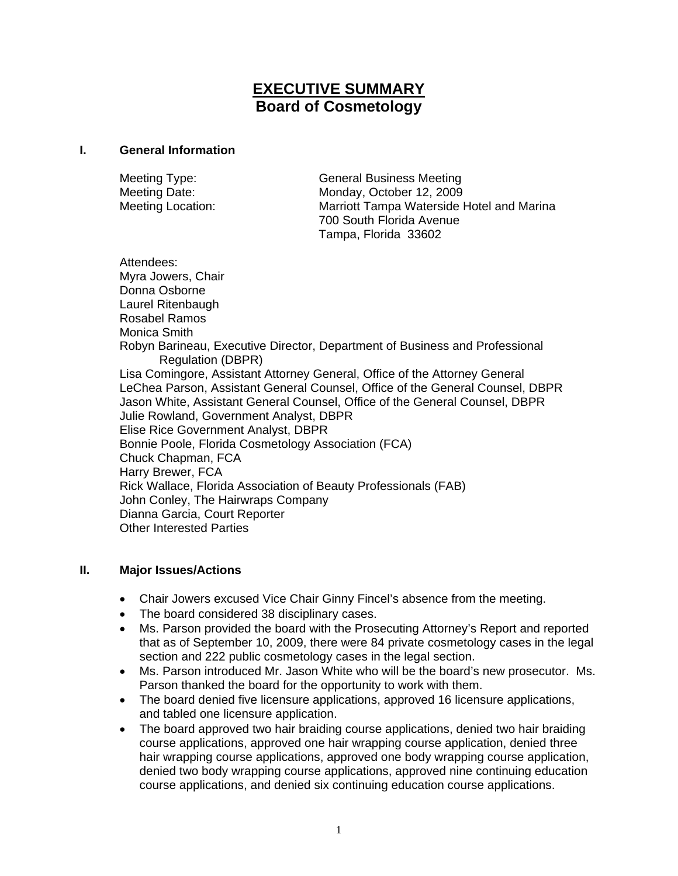# **EXECUTIVE SUMMARY Board of Cosmetology**

#### **I. General Information**

| Meeting Type:            | <b>General Business Meeting</b>           |
|--------------------------|-------------------------------------------|
| Meeting Date:            | Monday, October 12, 2009                  |
| <b>Meeting Location:</b> | Marriott Tampa Waterside Hotel and Marina |
|                          | 700 South Florida Avenue                  |
|                          | Tampa, Florida 33602                      |

Attendees: Myra Jowers, Chair Donna Osborne Laurel Ritenbaugh Rosabel Ramos Monica Smith Robyn Barineau, Executive Director, Department of Business and Professional Regulation (DBPR) Lisa Comingore, Assistant Attorney General, Office of the Attorney General LeChea Parson, Assistant General Counsel, Office of the General Counsel, DBPR Jason White, Assistant General Counsel, Office of the General Counsel, DBPR Julie Rowland, Government Analyst, DBPR Elise Rice Government Analyst, DBPR Bonnie Poole, Florida Cosmetology Association (FCA) Chuck Chapman, FCA Harry Brewer, FCA Rick Wallace, Florida Association of Beauty Professionals (FAB) John Conley, The Hairwraps Company Dianna Garcia, Court Reporter Other Interested Parties

### **II. Major Issues/Actions**

- Chair Jowers excused Vice Chair Ginny Fincel's absence from the meeting.
- The board considered 38 disciplinary cases.
- Ms. Parson provided the board with the Prosecuting Attorney's Report and reported that as of September 10, 2009, there were 84 private cosmetology cases in the legal section and 222 public cosmetology cases in the legal section.
- Ms. Parson introduced Mr. Jason White who will be the board's new prosecutor. Ms. Parson thanked the board for the opportunity to work with them.
- The board denied five licensure applications, approved 16 licensure applications, and tabled one licensure application.
- The board approved two hair braiding course applications, denied two hair braiding course applications, approved one hair wrapping course application, denied three hair wrapping course applications, approved one body wrapping course application, denied two body wrapping course applications, approved nine continuing education course applications, and denied six continuing education course applications.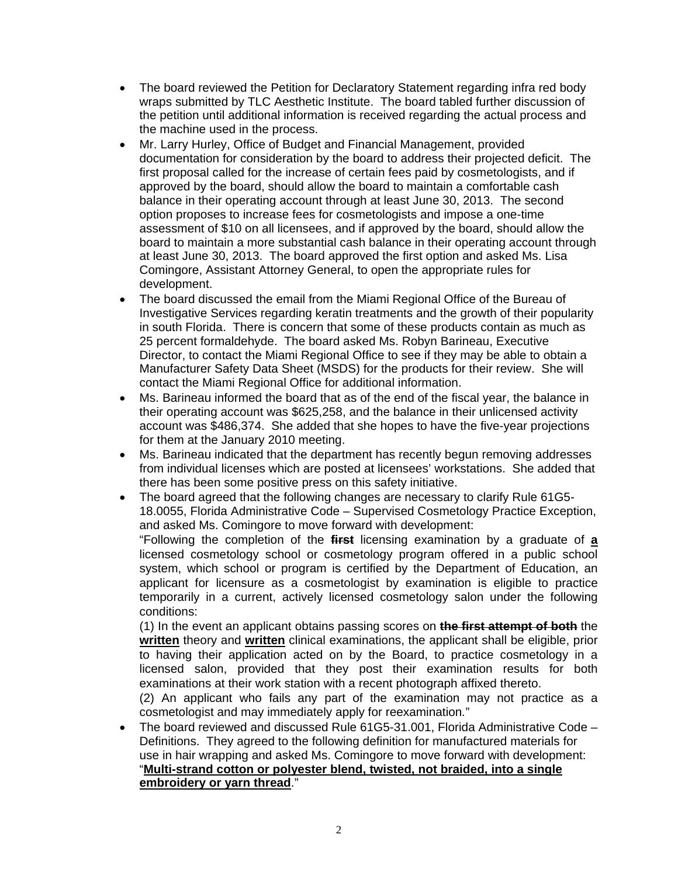- The board reviewed the Petition for Declaratory Statement regarding infra red body wraps submitted by TLC Aesthetic Institute. The board tabled further discussion of the petition until additional information is received regarding the actual process and the machine used in the process.
- Mr. Larry Hurley, Office of Budget and Financial Management, provided documentation for consideration by the board to address their projected deficit. The first proposal called for the increase of certain fees paid by cosmetologists, and if approved by the board, should allow the board to maintain a comfortable cash balance in their operating account through at least June 30, 2013. The second option proposes to increase fees for cosmetologists and impose a one-time assessment of \$10 on all licensees, and if approved by the board, should allow the board to maintain a more substantial cash balance in their operating account through at least June 30, 2013. The board approved the first option and asked Ms. Lisa Comingore, Assistant Attorney General, to open the appropriate rules for development.
- The board discussed the email from the Miami Regional Office of the Bureau of Investigative Services regarding keratin treatments and the growth of their popularity in south Florida. There is concern that some of these products contain as much as 25 percent formaldehyde. The board asked Ms. Robyn Barineau, Executive Director, to contact the Miami Regional Office to see if they may be able to obtain a Manufacturer Safety Data Sheet (MSDS) for the products for their review. She will contact the Miami Regional Office for additional information.
- Ms. Barineau informed the board that as of the end of the fiscal year, the balance in their operating account was \$625,258, and the balance in their unlicensed activity account was \$486,374. She added that she hopes to have the five-year projections for them at the January 2010 meeting.
- Ms. Barineau indicated that the department has recently begun removing addresses from individual licenses which are posted at licensees' workstations. She added that there has been some positive press on this safety initiative.
- The board agreed that the following changes are necessary to clarify Rule 61G5- 18.0055, Florida Administrative Code – Supervised Cosmetology Practice Exception, and asked Ms. Comingore to move forward with development:

"Following the completion of the **first** licensing examination by a graduate of **a** licensed cosmetology school or cosmetology program offered in a public school system, which school or program is certified by the Department of Education, an applicant for licensure as a cosmetologist by examination is eligible to practice temporarily in a current, actively licensed cosmetology salon under the following conditions:

(1) In the event an applicant obtains passing scores on **the first attempt of both** the **written** theory and **written** clinical examinations, the applicant shall be eligible, prior to having their application acted on by the Board, to practice cosmetology in a licensed salon, provided that they post their examination results for both examinations at their work station with a recent photograph affixed thereto.

(2) An applicant who fails any part of the examination may not practice as a cosmetologist and may immediately apply for reexamination*.*"

• The board reviewed and discussed Rule 61G5-31.001, Florida Administrative Code – Definitions. They agreed to the following definition for manufactured materials for use in hair wrapping and asked Ms. Comingore to move forward with development: "**Multi-strand cotton or polyester blend, twisted, not braided, into a single embroidery or yarn thread**."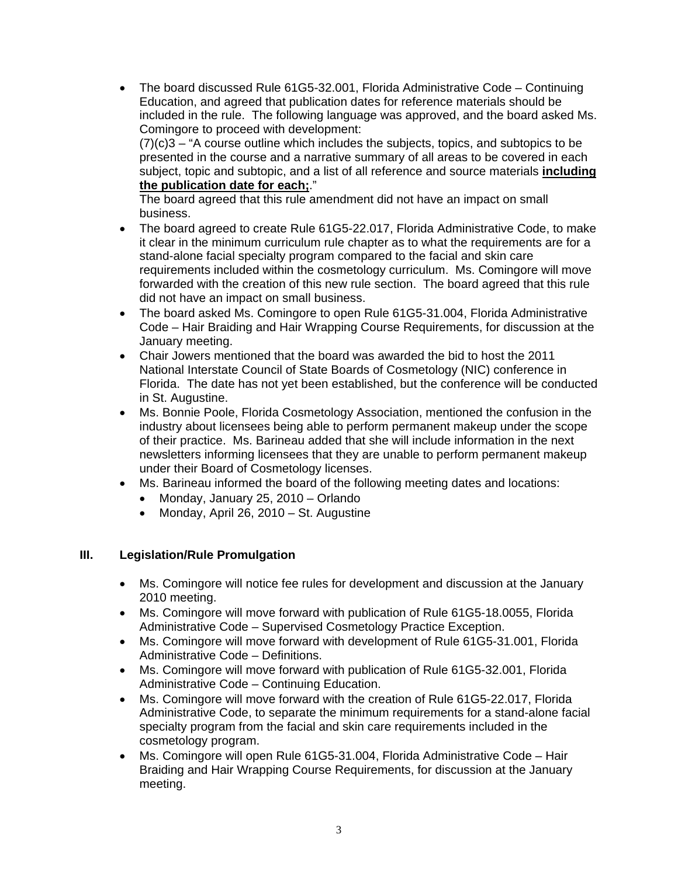• The board discussed Rule 61G5-32.001, Florida Administrative Code – Continuing Education, and agreed that publication dates for reference materials should be included in the rule. The following language was approved, and the board asked Ms. Comingore to proceed with development:  $(7)(c)$ 3 – "A course outline which includes the subjects, topics, and subtopics to be presented in the course and a narrative summary of all areas to be covered in each subject, topic and subtopic, and a list of all reference and source materials **including the publication date for each;**."

The board agreed that this rule amendment did not have an impact on small business.

- The board agreed to create Rule 61G5-22.017, Florida Administrative Code, to make it clear in the minimum curriculum rule chapter as to what the requirements are for a stand-alone facial specialty program compared to the facial and skin care requirements included within the cosmetology curriculum. Ms. Comingore will move forwarded with the creation of this new rule section. The board agreed that this rule did not have an impact on small business.
- The board asked Ms. Comingore to open Rule 61G5-31.004, Florida Administrative Code – Hair Braiding and Hair Wrapping Course Requirements, for discussion at the January meeting.
- Chair Jowers mentioned that the board was awarded the bid to host the 2011 National Interstate Council of State Boards of Cosmetology (NIC) conference in Florida. The date has not yet been established, but the conference will be conducted in St. Augustine.
- Ms. Bonnie Poole, Florida Cosmetology Association, mentioned the confusion in the industry about licensees being able to perform permanent makeup under the scope of their practice. Ms. Barineau added that she will include information in the next newsletters informing licensees that they are unable to perform permanent makeup under their Board of Cosmetology licenses.
- Ms. Barineau informed the board of the following meeting dates and locations:
	- Monday, January 25, 2010 Orlando
	- Monday, April 26, 2010 St. Augustine

### **III. Legislation/Rule Promulgation**

- Ms. Comingore will notice fee rules for development and discussion at the January 2010 meeting.
- Ms. Comingore will move forward with publication of Rule 61G5-18.0055, Florida Administrative Code – Supervised Cosmetology Practice Exception.
- Ms. Comingore will move forward with development of Rule 61G5-31.001, Florida Administrative Code – Definitions.
- Ms. Comingore will move forward with publication of Rule 61G5-32.001, Florida Administrative Code – Continuing Education.
- Ms. Comingore will move forward with the creation of Rule 61G5-22.017, Florida Administrative Code, to separate the minimum requirements for a stand-alone facial specialty program from the facial and skin care requirements included in the cosmetology program.
- Ms. Comingore will open Rule 61G5-31.004, Florida Administrative Code Hair Braiding and Hair Wrapping Course Requirements, for discussion at the January meeting.